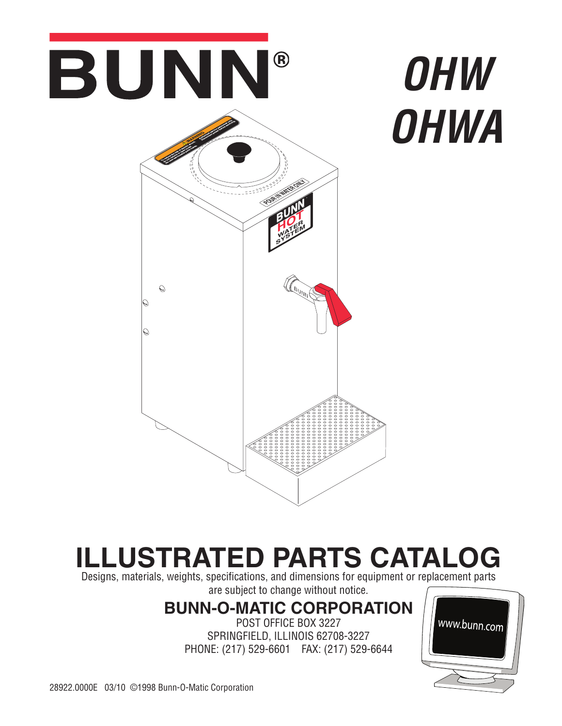

# *OHW OHWA*



# **ILLUSTRATED PARTS CATALOG**

Designs, materials, weights, specifications, and dimensions for equipment or replacement parts are subject to change without notice.

# **BUNN-O-MATIC CORPORATION**

POST OFFICE BOX 3227 SPRINGFIELD, ILLINOIS 62708-3227 PHONE: (217) 529-6601 FAX: (217) 529-6644

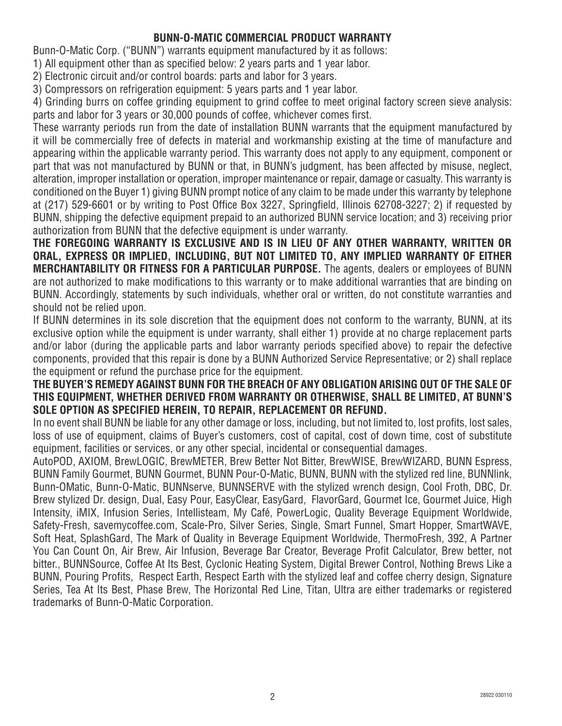#### **BUNN-O-MATIC COMMERCIAL PRODUCT WARRANTY**

Bunn-O-Matic Corp. ("BUNN") warrants equipment manufactured by it as follows:

1) All equipment other than as specified below: 2 years parts and 1 year labor.

2) Electronic circuit and/or control boards: parts and labor for 3 years.

3) Compressors on refrigeration equipment: 5 years parts and 1 year labor.

4) Grinding burrs on coffee grinding equipment to grind coffee to meet original factory screen sieve analysis: parts and labor for 3 years or 30,000 pounds of coffee, whichever comes first.

These warranty periods run from the date of installation BUNN warrants that the equipment manufactured by it will be commercially free of defects in material and workmanship existing at the time of manufacture and appearing within the applicable warranty period. This warranty does not apply to any equipment, component or part that was not manufactured by BUNN or that, in BUNN's judgment, has been affected by misuse, neglect, alteration, improper installation or operation, improper maintenance or repair, damage or casualty. This warranty is conditioned on the Buyer 1) giving BUNN prompt notice of any claim to be made under this warranty by telephone at (217) 529-6601 or by writing to Post Office Box 3227, Springfield, Illinois 62708-3227; 2) if requested by BUNN, shipping the defective equipment prepaid to an authorized BUNN service location; and 3) receiving prior authorization from BUNN that the defective equipment is under warranty.

**THE FOREGOING WARRANTY IS EXCLUSIVE AND IS IN LIEU OF ANY OTHER WARRANTY, WRITTEN OR ORAL, EXPRESS OR IMPLIED, INCLUDING, BUT NOT LIMITED TO, ANY IMPLIED WARRANTY OF EITHER MERCHANTABILITY OR FITNESS FOR A PARTICULAR PURPOSE.** The agents, dealers or employees of BUNN are not authorized to make modifications to this warranty or to make additional warranties that are binding on BUNN. Accordingly, statements by such individuals, whether oral or written, do not constitute warranties and should not be relied upon.

If BUNN determines in its sole discretion that the equipment does not conform to the warranty, BUNN, at its exclusive option while the equipment is under warranty, shall either 1) provide at no charge replacement parts and/or labor (during the applicable parts and labor warranty periods specified above) to repair the defective components, provided that this repair is done by a BUNN Authorized Service Representative; or 2) shall replace the equipment or refund the purchase price for the equipment.

#### **THE BUYER'S REMEDY AGAINST BUNN FOR THE BREACH OF ANY OBLIGATION ARISING OUT OF THE SALE OF THIS EQUIPMENT, WHETHER DERIVED FROM WARRANTY OR OTHERWISE, SHALL BE LIMITED, AT BUNN'S SOLE OPTION AS SPECIFIED HEREIN, TO REPAIR, REPLACEMENT OR REFUND.**

In no event shall BUNN be liable for any other damage or loss, including, but not limited to, lost profits, lost sales, loss of use of equipment, claims of Buyer's customers, cost of capital, cost of down time, cost of substitute equipment, facilities or services, or any other special, incidental or consequential damages.

AutoPOD, AXIOM, BrewLOGIC, BrewMETER, Brew Better Not Bitter, BrewWISE, BrewWIZARD, BUNN Espress, BUNN Family Gourmet, BUNN Gourmet, BUNN Pour-O-Matic, BUNN, BUNN with the stylized red line, BUNNlink, Bunn-OMatic, Bunn-O-Matic, BUNNserve, BUNNSERVE with the stylized wrench design, Cool Froth, DBC, Dr. Brew stylized Dr. design, Dual, Easy Pour, EasyClear, EasyGard, FlavorGard, Gourmet Ice, Gourmet Juice, High Intensity, iMIX, Infusion Series, Intellisteam, My Café, PowerLogic, Quality Beverage Equipment Worldwide, Safety-Fresh, savemycoffee.com, Scale-Pro, Silver Series, Single, Smart Funnel, Smart Hopper, SmartWAVE, Soft Heat, SplashGard, The Mark of Quality in Beverage Equipment Worldwide, ThermoFresh, 392, A Partner You Can Count On, Air Brew, Air Infusion, Beverage Bar Creator, Beverage Profit Calculator, Brew better, not bitter., BUNNSource, Coffee At Its Best, Cyclonic Heating System, Digital Brewer Control, Nothing Brews Like a BUNN, Pouring Profits, Respect Earth, Respect Earth with the stylized leaf and coffee cherry design, Signature Series, Tea At Its Best, Phase Brew, The Horizontal Red Line, Titan, Ultra are either trademarks or registered trademarks of Bunn-O-Matic Corporation.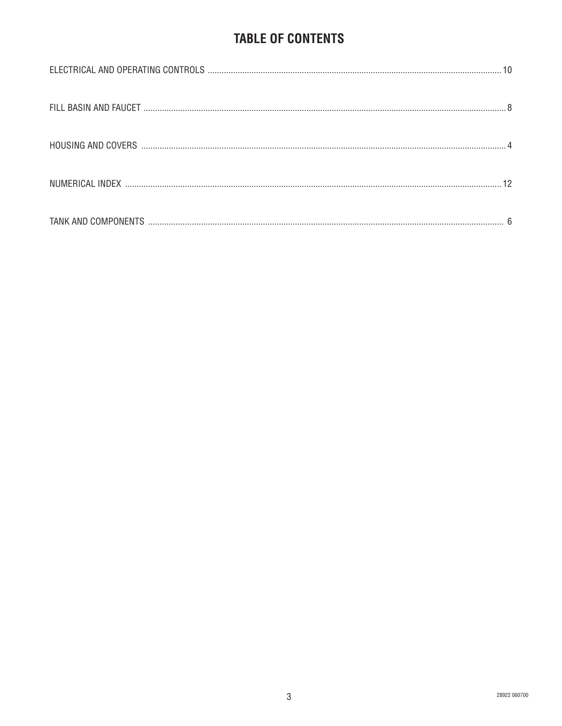## **TABLE OF CONTENTS**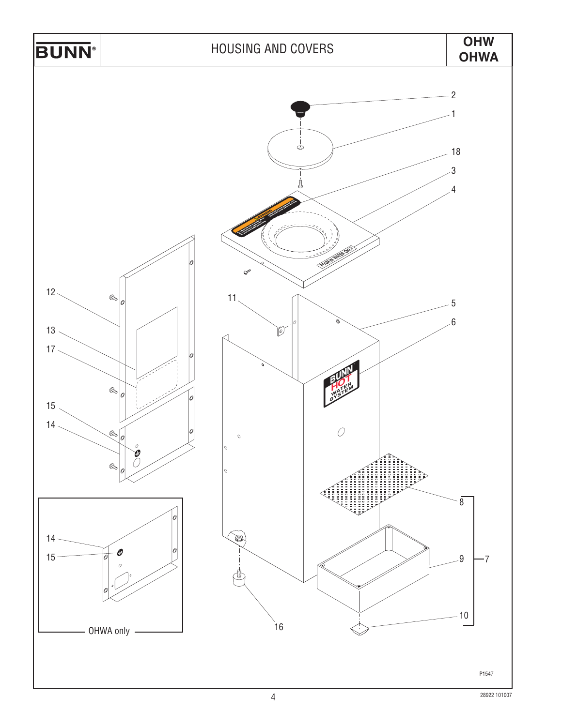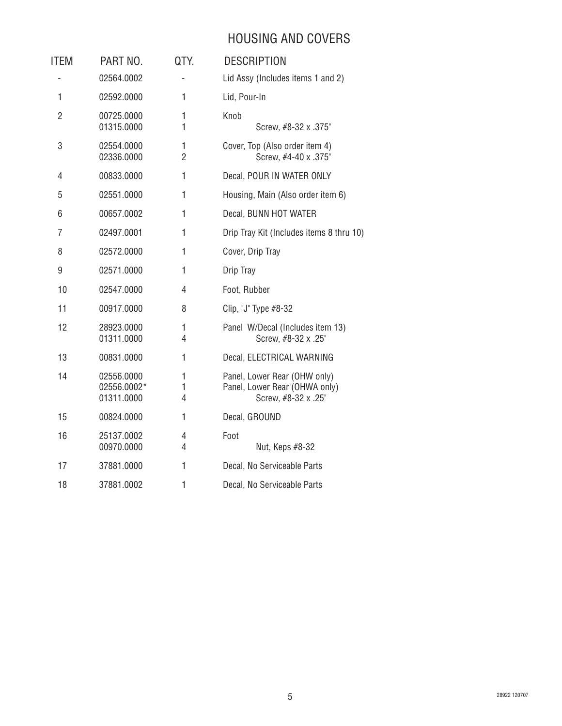### HOUSING AND COVERS

| <b>ITEM</b>    | PART NO.                                | QTY.                   | <b>DESCRIPTION</b>                                                                   |
|----------------|-----------------------------------------|------------------------|--------------------------------------------------------------------------------------|
|                | 02564.0002                              |                        | Lid Assy (Includes items 1 and 2)                                                    |
| 1              | 02592.0000                              | 1                      | Lid, Pour-In                                                                         |
| $\overline{2}$ | 00725.0000<br>01315.0000                | $\mathbf{1}$<br>1      | Knob<br>Screw, #8-32 x .375"                                                         |
| 3              | 02554.0000<br>02336.0000                | 1<br>$\overline{2}$    | Cover, Top (Also order item 4)<br>Screw, #4-40 x .375"                               |
| 4              | 00833.0000                              | 1                      | Decal, POUR IN WATER ONLY                                                            |
| 5              | 02551.0000                              | 1                      | Housing, Main (Also order item 6)                                                    |
| 6              | 00657.0002                              | 1                      | Decal, BUNN HOT WATER                                                                |
| 7              | 02497.0001                              | 1                      | Drip Tray Kit (Includes items 8 thru 10)                                             |
| 8              | 02572.0000                              | 1                      | Cover, Drip Tray                                                                     |
| 9              | 02571.0000                              | 1                      | Drip Tray                                                                            |
| 10             | 02547.0000                              | 4                      | Foot, Rubber                                                                         |
| 11             | 00917.0000                              | 8                      | Clip, "J" Type #8-32                                                                 |
| 12             | 28923.0000<br>01311.0000                | $\mathbf{1}$<br>4      | Panel W/Decal (Includes item 13)<br>Screw, #8-32 x .25"                              |
| 13             | 00831.0000                              | 1                      | Decal, ELECTRICAL WARNING                                                            |
| 14             | 02556.0000<br>02556.0002*<br>01311.0000 | 1<br>$\mathbf{1}$<br>4 | Panel, Lower Rear (OHW only)<br>Panel, Lower Rear (OHWA only)<br>Screw, #8-32 x .25" |
| 15             | 00824.0000                              | 1                      | Decal, GROUND                                                                        |
| 16             | 25137.0002<br>00970.0000                | 4<br>4                 | Foot<br>Nut, Keps #8-32                                                              |
| 17             | 37881.0000                              | 1                      | Decal, No Serviceable Parts                                                          |
| 18             | 37881.0002                              | 1                      | Decal, No Serviceable Parts                                                          |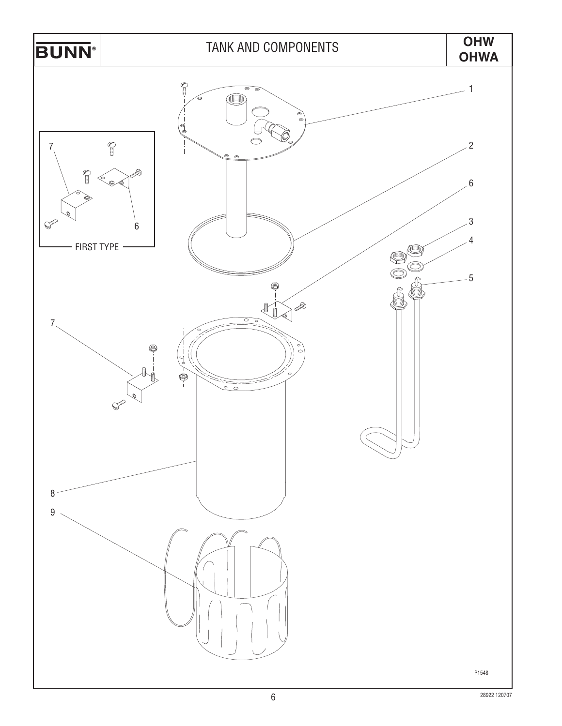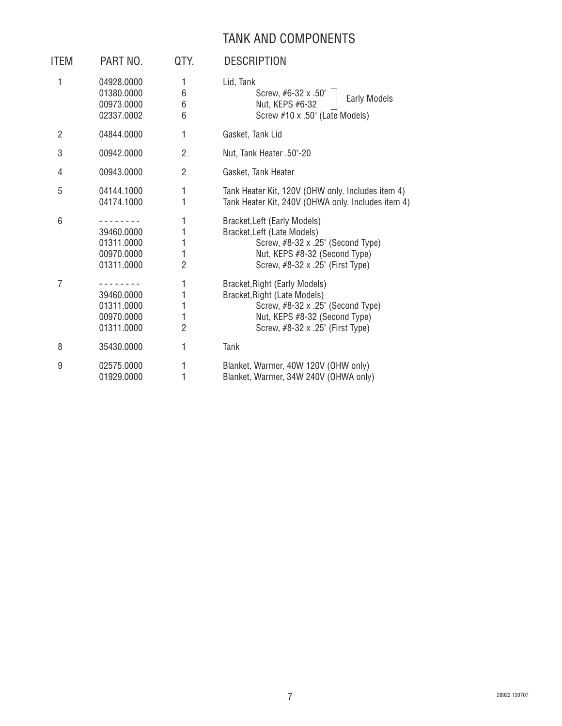#### TANK AND COMPONENTS

| <b>ITEM</b>    | PART NO.                                             | QTY.                               | <b>DESCRIPTION</b>                                                                                                                                                      |
|----------------|------------------------------------------------------|------------------------------------|-------------------------------------------------------------------------------------------------------------------------------------------------------------------------|
| 1              | 04928.0000<br>01380.0000<br>00973.0000<br>02337.0002 | 1<br>6<br>6<br>6                   | Lid, Tank<br>Screw, #6-32 x .50"<br><b>Early Models</b><br>Nut, KEPS #6-32<br>Screw #10 x .50" (Late Models)                                                            |
| $\overline{c}$ | 04844.0000                                           | 1                                  | Gasket, Tank Lid                                                                                                                                                        |
| 3              | 00942.0000                                           | 2                                  | Nut, Tank Heater .50"-20                                                                                                                                                |
| 4              | 00943.0000                                           | $\overline{2}$                     | Gasket, Tank Heater                                                                                                                                                     |
| 5              | 04144.1000<br>04174.1000                             | 1<br>1                             | Tank Heater Kit, 120V (OHW only. Includes item 4)<br>Tank Heater Kit, 240V (OHWA only. Includes item 4)                                                                 |
| 6              | 39460.0000<br>01311.0000<br>00970.0000<br>01311.0000 | 1<br>1<br>1<br>1<br>$\overline{2}$ | Bracket, Left (Early Models)<br>Bracket, Left (Late Models)<br>Screw, #8-32 x .25" (Second Type)<br>Nut, KEPS #8-32 (Second Type)<br>Screw, #8-32 x .25" (First Type)   |
| 7              | 39460.0000<br>01311.0000<br>00970.0000<br>01311.0000 | 1<br>1<br>1<br>1<br>$\overline{2}$ | Bracket, Right (Early Models)<br>Bracket, Right (Late Models)<br>Screw, #8-32 x .25" (Second Type)<br>Nut, KEPS #8-32 (Second Type)<br>Screw, #8-32 x .25" (First Type) |
| 8              | 35430.0000                                           | 1                                  | Tank                                                                                                                                                                    |
| 9              | 02575.0000<br>01929.0000                             | 1<br>1                             | Blanket, Warmer, 40W 120V (OHW only)<br>Blanket, Warmer, 34W 240V (OHWA only)                                                                                           |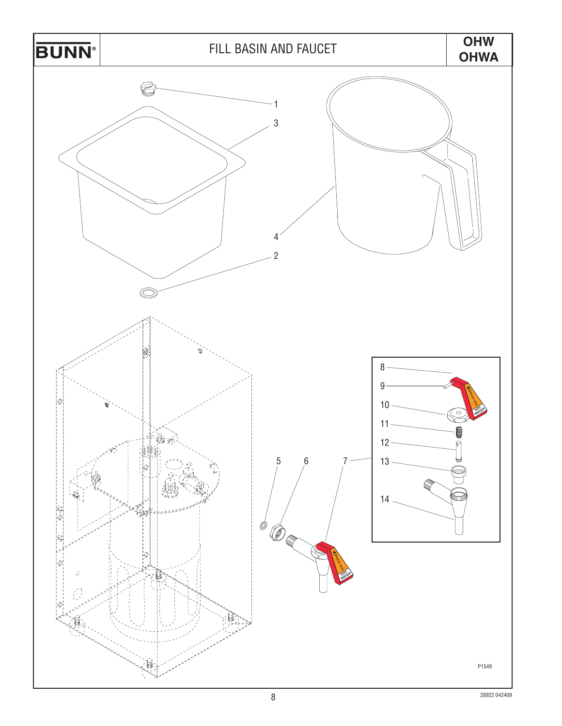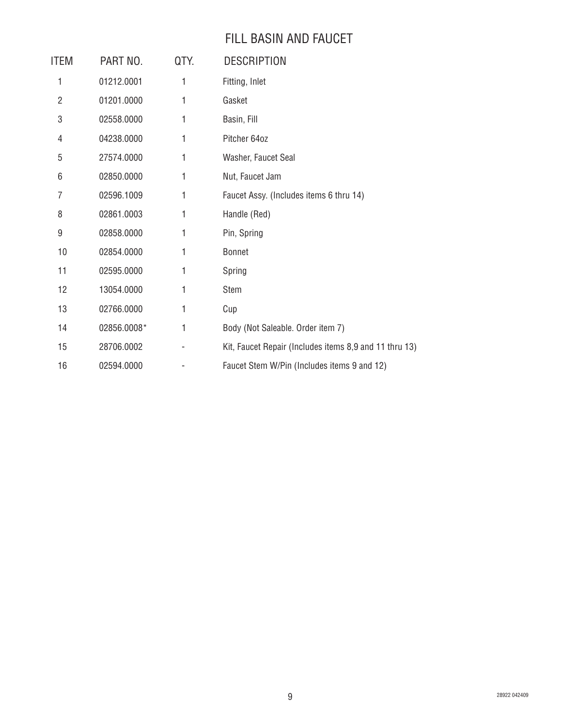#### FILL BASIN AND FAUCET

| ITEM | PART NO.    | QTY. | <b>DESCRIPTION</b>                                     |
|------|-------------|------|--------------------------------------------------------|
| 1    | 01212.0001  | 1    | Fitting, Inlet                                         |
| 2    | 01201.0000  | 1    | Gasket                                                 |
| 3    | 02558.0000  | 1    | Basin, Fill                                            |
| 4    | 04238.0000  | 1    | Pitcher 64oz                                           |
| 5    | 27574.0000  | 1    | Washer, Faucet Seal                                    |
| 6    | 02850.0000  | 1    | Nut, Faucet Jam                                        |
| 7    | 02596.1009  | 1    | Faucet Assy. (Includes items 6 thru 14)                |
| 8    | 02861.0003  | 1    | Handle (Red)                                           |
| 9    | 02858.0000  | 1    | Pin, Spring                                            |
| 10   | 02854.0000  | 1    | <b>Bonnet</b>                                          |
| 11   | 02595.0000  | 1    | Spring                                                 |
| 12   | 13054.0000  | 1    | Stem                                                   |
| 13   | 02766.0000  | 1    | Cup                                                    |
| 14   | 02856.0008* | 1    | Body (Not Saleable. Order item 7)                      |
| 15   | 28706.0002  |      | Kit, Faucet Repair (Includes items 8,9 and 11 thru 13) |
| 16   | 02594.0000  |      | Faucet Stem W/Pin (Includes items 9 and 12)            |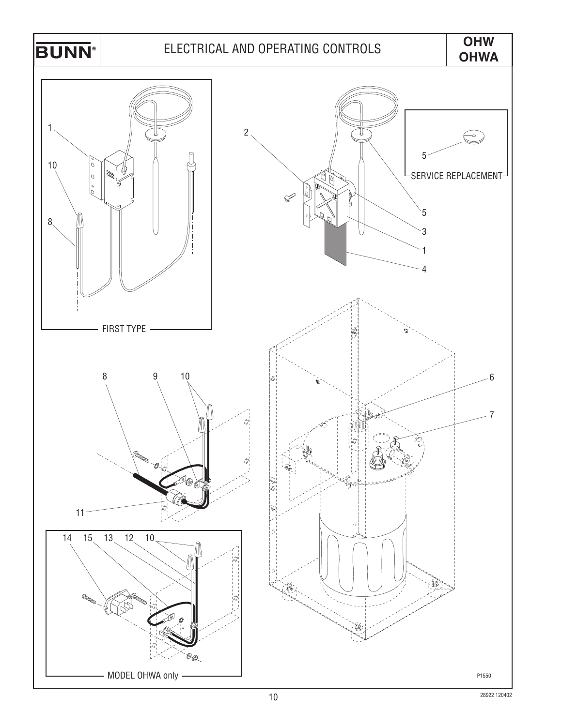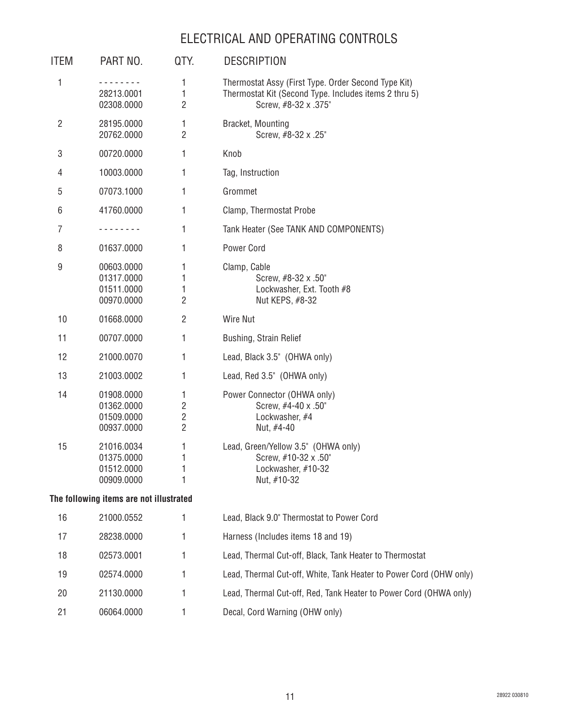#### ELECTRICAL AND OPERATING CONTROLS

| <b>ITEM</b> | PART NO.                                             | QTY.                                                    | <b>DESCRIPTION</b>                                                                                                                   |
|-------------|------------------------------------------------------|---------------------------------------------------------|--------------------------------------------------------------------------------------------------------------------------------------|
| 1           | 28213.0001<br>02308.0000                             | 1<br>1<br>$\overline{2}$                                | Thermostat Assy (First Type. Order Second Type Kit)<br>Thermostat Kit (Second Type. Includes items 2 thru 5)<br>Screw, #8-32 x .375" |
| 2           | 28195.0000<br>20762.0000                             | 1<br>$\overline{2}$                                     | Bracket, Mounting<br>Screw, #8-32 x .25"                                                                                             |
| 3           | 00720.0000                                           | 1                                                       | Knob                                                                                                                                 |
| 4           | 10003.0000                                           | 1                                                       | Tag, Instruction                                                                                                                     |
| 5           | 07073.1000                                           | 1                                                       | Grommet                                                                                                                              |
| 6           | 41760.0000                                           | 1                                                       | Clamp, Thermostat Probe                                                                                                              |
| 7           | ------                                               | 1                                                       | Tank Heater (See TANK AND COMPONENTS)                                                                                                |
| 8           | 01637.0000                                           | 1                                                       | Power Cord                                                                                                                           |
| 9           | 00603.0000<br>01317.0000<br>01511.0000<br>00970.0000 | 1<br>1<br>1<br>$\overline{2}$                           | Clamp, Cable<br>Screw, #8-32 x .50"<br>Lockwasher, Ext. Tooth #8<br>Nut KEPS, #8-32                                                  |
| 10          | 01668.0000                                           | $\overline{2}$                                          | Wire Nut                                                                                                                             |
| 11          | 00707.0000                                           | 1                                                       | Bushing, Strain Relief                                                                                                               |
| 12          | 21000.0070                                           | 1                                                       | Lead, Black 3.5" (OHWA only)                                                                                                         |
| 13          | 21003.0002                                           | 1                                                       | Lead, Red 3.5" (OHWA only)                                                                                                           |
| 14          | 01908.0000<br>01362.0000<br>01509.0000<br>00937.0000 | 1<br>$\overline{2}$<br>$\overline{2}$<br>$\overline{2}$ | Power Connector (OHWA only)<br>Screw, #4-40 x .50"<br>Lockwasher, #4<br>Nut, #4-40                                                   |
| 15          | 21016.0034<br>01375.0000<br>01512.0000<br>00909.0000 | 1<br>1<br>1                                             | Lead, Green/Yellow 3.5" (OHWA only)<br>Screw, #10-32 x .50"<br>Lockwasher, #10-32<br>Nut, #10-32                                     |
|             | The following items are not illustrated              |                                                         |                                                                                                                                      |
| 16          | 21000.0552                                           | 1                                                       | Lead, Black 9.0" Thermostat to Power Cord                                                                                            |
| 17          | 28238.0000                                           | 1                                                       | Harness (Includes items 18 and 19)                                                                                                   |
| 18          | 02573.0001                                           | 1                                                       | Lead, Thermal Cut-off, Black, Tank Heater to Thermostat                                                                              |
| 19          | 02574.0000                                           | 1                                                       | Lead, Thermal Cut-off, White, Tank Heater to Power Cord (OHW only)                                                                   |
| 20          | 21130.0000                                           | 1                                                       | Lead, Thermal Cut-off, Red, Tank Heater to Power Cord (OHWA only)                                                                    |
| 21          | 06064.0000                                           | 1                                                       | Decal, Cord Warning (OHW only)                                                                                                       |
|             |                                                      |                                                         |                                                                                                                                      |